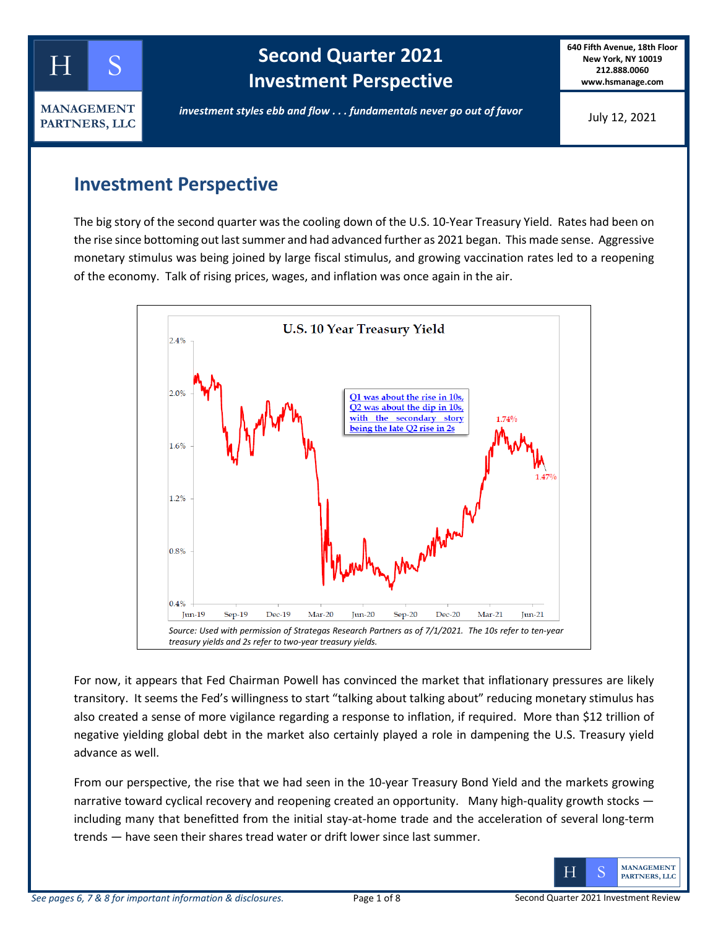

# **Second Quarter 2021 Investment Perspective**

**640 Fifth Avenue, 18th Floor New York, NY 10019 212.888.0060 www.hsmanage.com**

July 12, 2021

## *investment styles ebb and flow . . . fundamentals never go out of favor*

**Investment Perspective**

The big story of the second quarter was the cooling down of the U.S. 10-Year Treasury Yield. Rates had been on the rise since bottoming out last summer and had advanced further as 2021 began. This made sense. Aggressive monetary stimulus was being joined by large fiscal stimulus, and growing vaccination rates led to a reopening of the economy. Talk of rising prices, wages, and inflation was once again in the air.



For now, it appears that Fed Chairman Powell has convinced the market that inflationary pressures are likely transitory. It seems the Fed's willingness to start "talking about talking about" reducing monetary stimulus has also created a sense of more vigilance regarding a response to inflation, if required. More than \$12 trillion of negative yielding global debt in the market also certainly played a role in dampening the U.S. Treasury yield advance as well.

From our perspective, the rise that we had seen in the 10-year Treasury Bond Yield and the markets growing narrative toward cyclical recovery and reopening created an opportunity. Many high-quality growth stocks including many that benefitted from the initial stay-at-home trade and the acceleration of several long-term trends — have seen their shares tread water or drift lower since last summer.

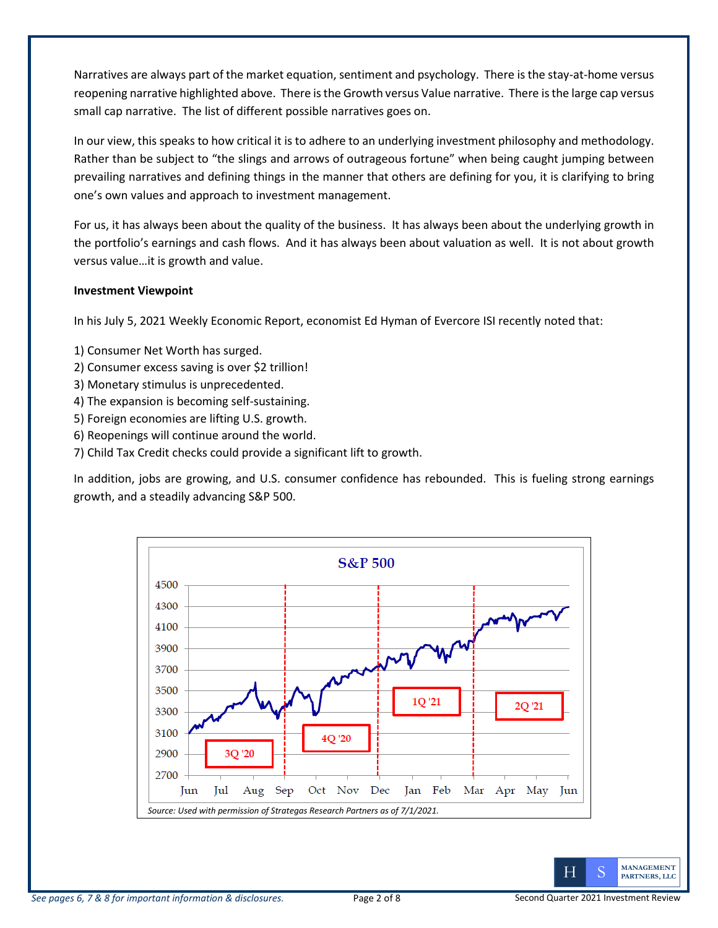Narratives are always part of the market equation, sentiment and psychology. There is the stay-at-home versus reopening narrative highlighted above. There is the Growth versus Value narrative. There is the large cap versus small cap narrative. The list of different possible narratives goes on.

In our view, this speaks to how critical it is to adhere to an underlying investment philosophy and methodology. Rather than be subject to "the slings and arrows of outrageous fortune" when being caught jumping between prevailing narratives and defining things in the manner that others are defining for you, it is clarifying to bring one's own values and approach to investment management.

For us, it has always been about the quality of the business. It has always been about the underlying growth in the portfolio's earnings and cash flows. And it has always been about valuation as well. It is not about growth versus value…it is growth and value.

### **Investment Viewpoint**

In his July 5, 2021 Weekly Economic Report, economist Ed Hyman of Evercore ISI recently noted that:

- 1) Consumer Net Worth has surged.
- 2) Consumer excess saving is over \$2 trillion!
- 3) Monetary stimulus is unprecedented.
- 4) The expansion is becoming self-sustaining.
- 5) Foreign economies are lifting U.S. growth.
- 6) Reopenings will continue around the world.
- 7) Child Tax Credit checks could provide a significant lift to growth.

In addition, jobs are growing, and U.S. consumer confidence has rebounded. This is fueling strong earnings growth, and a steadily advancing S&P 500.



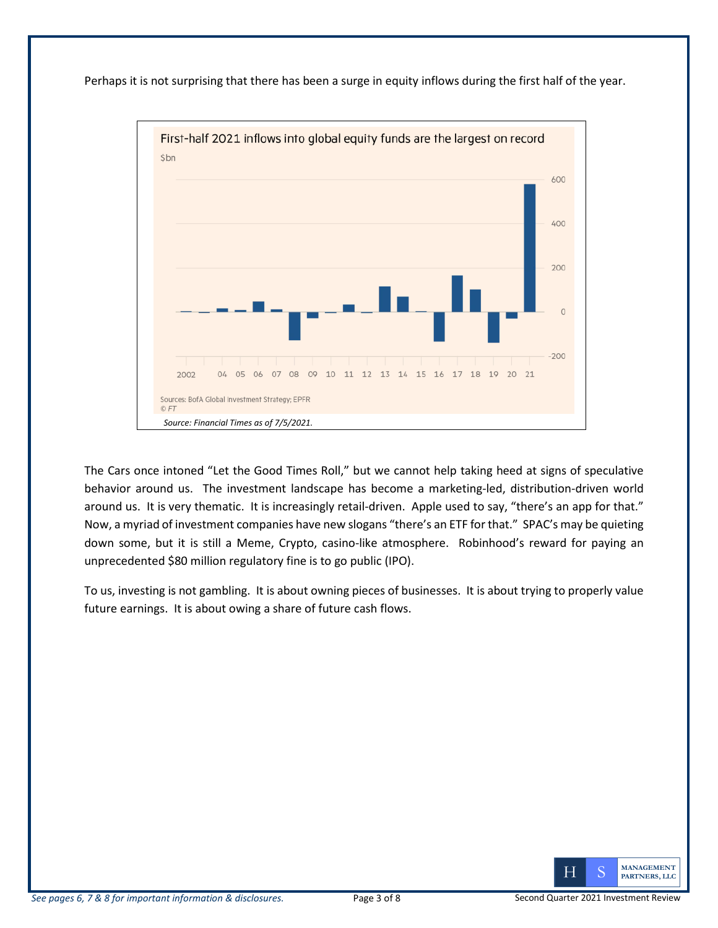



The Cars once intoned "Let the Good Times Roll," but we cannot help taking heed at signs of speculative behavior around us. The investment landscape has become a marketing-led, distribution-driven world around us. It is very thematic. It is increasingly retail-driven. Apple used to say, "there's an app for that." Now, a myriad of investment companies have new slogans "there's an ETF for that." SPAC's may be quieting down some, but it is still a Meme, Crypto, casino-like atmosphere. Robinhood's reward for paying an unprecedented \$80 million regulatory fine is to go public (IPO).

To us, investing is not gambling. It is about owning pieces of businesses. It is about trying to properly value future earnings. It is about owing a share of future cash flows.

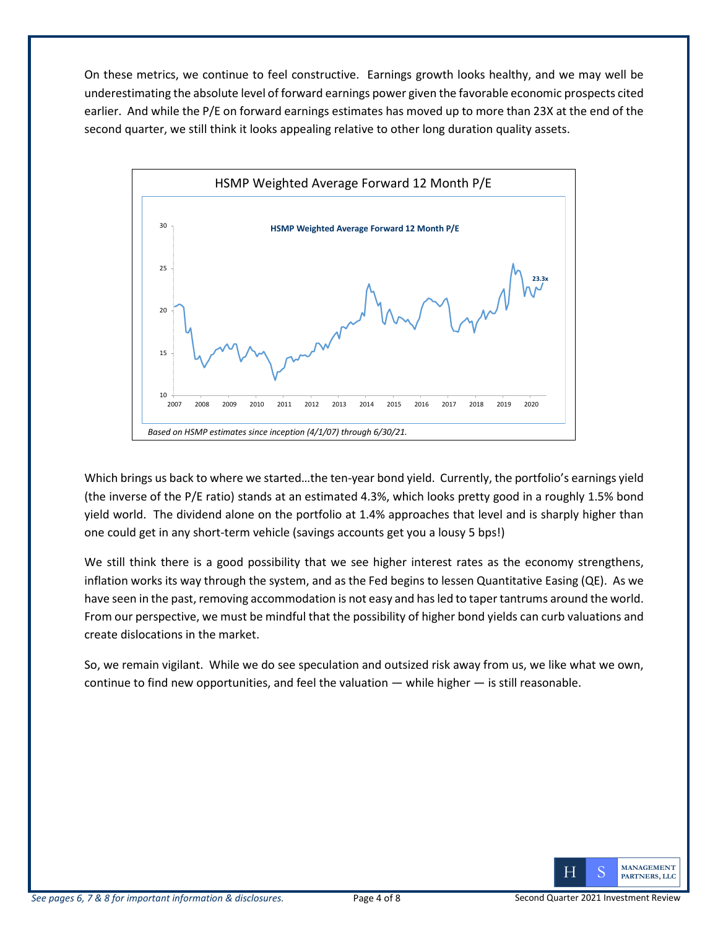On these metrics, we continue to feel constructive. Earnings growth looks healthy, and we may well be underestimating the absolute level of forward earnings power given the favorable economic prospects cited earlier. And while the P/E on forward earnings estimates has moved up to more than 23X at the end of the second quarter, we still think it looks appealing relative to other long duration quality assets.



Which brings us back to where we started…the ten-year bond yield. Currently, the portfolio's earnings yield (the inverse of the P/E ratio) stands at an estimated 4.3%, which looks pretty good in a roughly 1.5% bond yield world. The dividend alone on the portfolio at 1.4% approaches that level and is sharply higher than one could get in any short-term vehicle (savings accounts get you a lousy 5 bps!)

We still think there is a good possibility that we see higher interest rates as the economy strengthens, inflation works its way through the system, and as the Fed begins to lessen Quantitative Easing (QE). As we have seen in the past, removing accommodation is not easy and has led to tapertantrums around the world. From our perspective, we must be mindful that the possibility of higher bond yields can curb valuations and create dislocations in the market.

So, we remain vigilant. While we do see speculation and outsized risk away from us, we like what we own, continue to find new opportunities, and feel the valuation — while higher — is still reasonable.

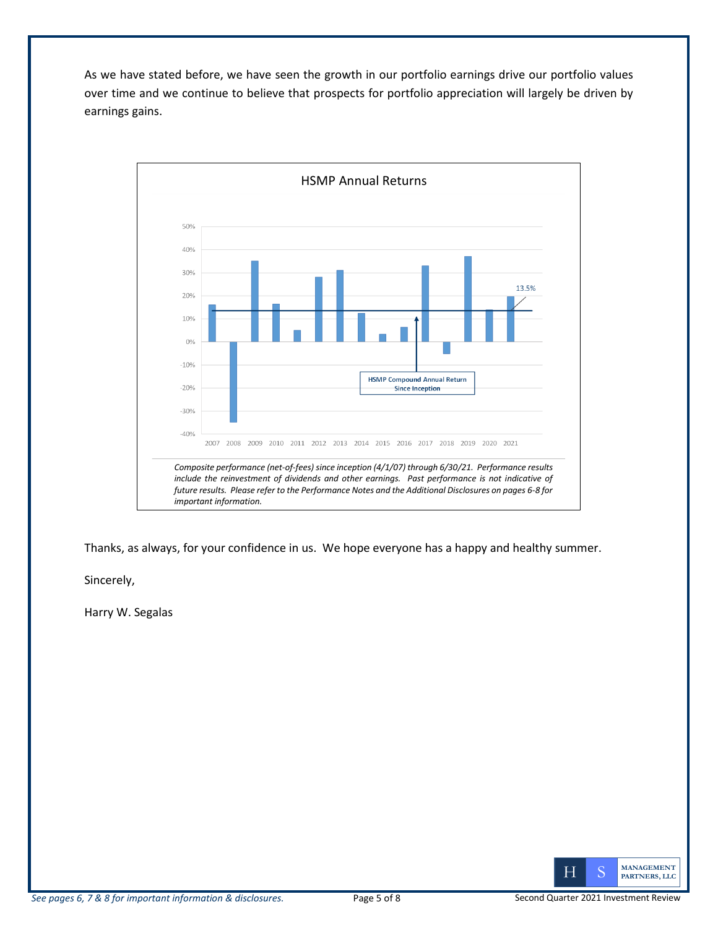As we have stated before, we have seen the growth in our portfolio earnings drive our portfolio values over time and we continue to believe that prospects for portfolio appreciation will largely be driven by earnings gains.



Thanks, as always, for your confidence in us. We hope everyone has a happy and healthy summer.

Sincerely,

Harry W. Segalas

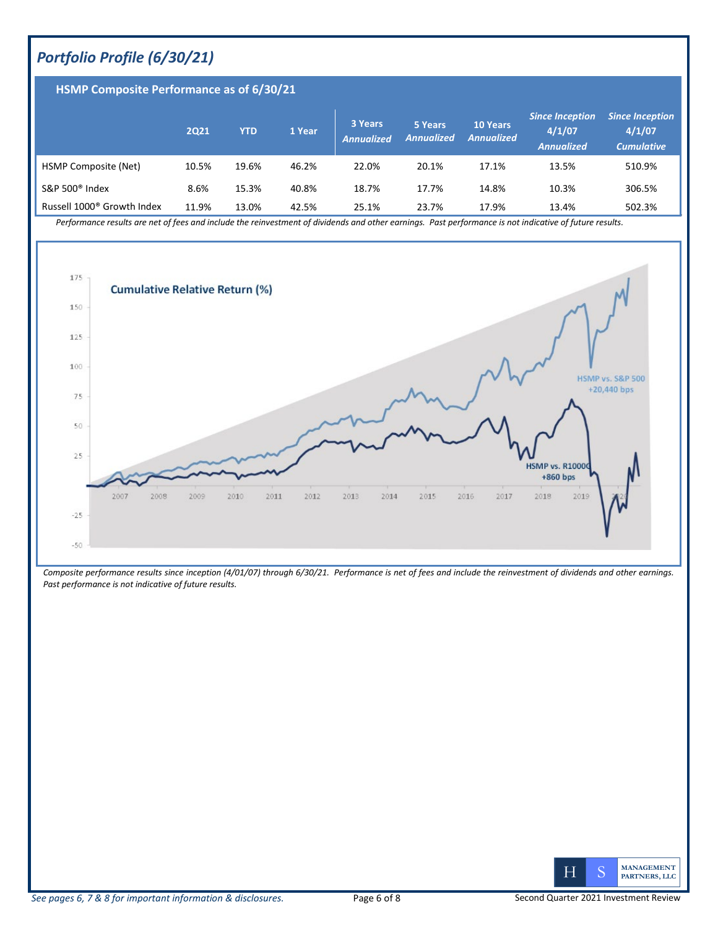### *Portfolio Profile (6/30/21)*

| HSMP Composite Performance as of 6/30/21 |       |            |        |                              |                              |                                      |                                                       |                                                       |
|------------------------------------------|-------|------------|--------|------------------------------|------------------------------|--------------------------------------|-------------------------------------------------------|-------------------------------------------------------|
|                                          | 2021  | <b>YTD</b> | 1 Year | 3 Years<br><b>Annualized</b> | 5 Years<br><b>Annualized</b> | <b>10 Years</b><br><b>Annualized</b> | <b>Since Inception</b><br>4/1/07<br><b>Annualized</b> | <b>Since Inception</b><br>4/1/07<br><b>Cumulative</b> |
| HSMP Composite (Net)                     | 10.5% | 19.6%      | 46.2%  | 22.0%                        | 20.1%                        | 17.1%                                | 13.5%                                                 | 510.9%                                                |
| S&P 500 <sup>®</sup> Index               | 8.6%  | 15.3%      | 40.8%  | 18.7%                        | 17.7%                        | 14.8%                                | 10.3%                                                 | 306.5%                                                |
| Russell 1000 <sup>®</sup> Growth Index   | 11.9% | 13.0%      | 42.5%  | 25.1%                        | 23.7%                        | 17.9%                                | 13.4%                                                 | 502.3%                                                |

*Performance results are net of fees and include the reinvestment of dividends and other earnings. Past performance is not indicative of future results.* 



*Composite performance results since inception (4/01/07) through 6/30/21. Performance is net of fees and include the reinvestment of dividends and other earnings. Past performance is not indicative of future results.*

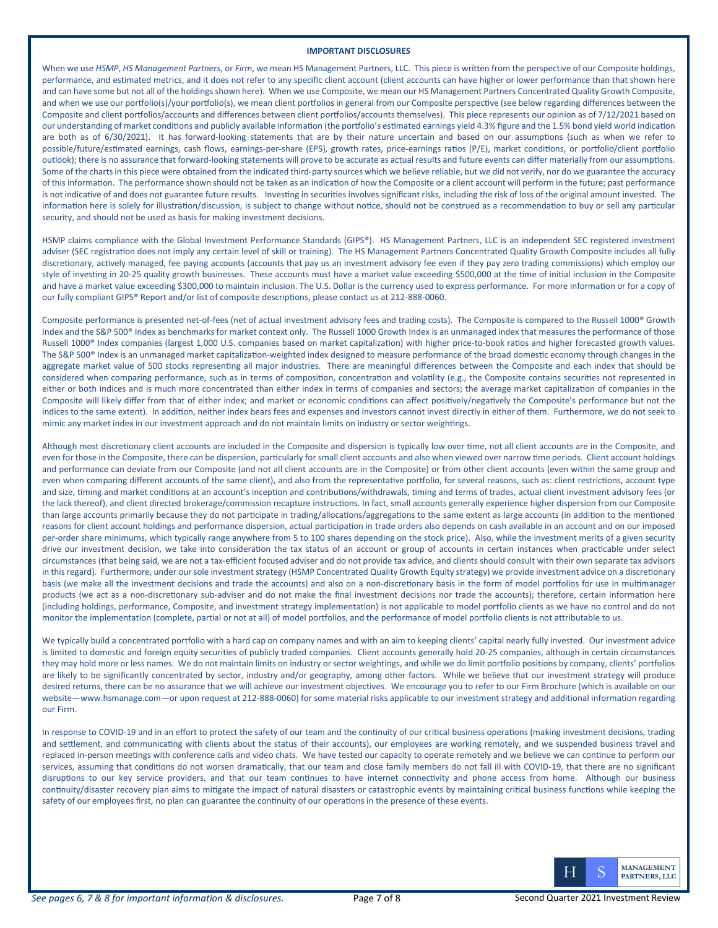#### **IMPORTANT DISCLOSURES**

When we use *HSMP*, *HS Management Partners*, or *Firm*, we mean HS Management Partners, LLC. This piece is written from the perspective of our Composite holdings, performance, and estimated metrics, and it does not refer to any specific client account (client accounts can have higher or lower performance than that shown here and can have some but not all of the holdings shown here). When we use Composite, we mean our HS Management Partners Concentrated Quality Growth Composite, and when we use our portfolio(s)/your portfolio(s), we mean client portfolios in general from our Composite perspective (see below regarding differences between the Composite and client portfolios/accounts and differences between client portfolios/accounts themselves). This piece represents our opinion as of 7/12/2021 based on our understanding of market conditions and publicly available information (the portfolio's estimated earnings yield 4.3% figure and the 1.5% bond yield world indication are both as of 6/30/2021). It has forward-looking statements that are by their nature uncertain and based on our assumptions (such as when we refer to possible/future/estimated earnings, cash flows, earnings-per-share (EPS), growth rates, price-earnings ratios (P/E), market conditions, or portfolio/client portfolio outlook); there is no assurance that forward-looking statements will prove to be accurate as actual results and future events can differ materially from our assumptions. Some of the charts in this piece were obtained from the indicated third-party sources which we believe reliable, but we did not verify, nor do we guarantee the accuracy of this information. The performance shown should not be taken as an indication of how the Composite or a client account will perform in the future; past performance is not indicative of and does not guarantee future results. Investing in securities involves significant risks, including the risk of loss of the original amount invested. The information here is solely for illustration/discussion, is subject to change without notice, should not be construed as a recommendation to buy or sell any particular security, and should not be used as basis for making investment decisions.

HSMP claims compliance with the Global Investment Performance Standards (GIPS®). HS Management Partners, LLC is an independent SEC registered investment adviser (SEC registration does not imply any certain level of skill or training). The HS Management Partners Concentrated Quality Growth Composite includes all fully discretionary, actively managed, fee paying accounts (accounts that pay us an investment advisory fee even if they pay zero trading commissions) which employ our style of investing in 20-25 quality growth businesses. These accounts must have a market value exceeding \$500,000 at the time of initial inclusion in the Composite and have a market value exceeding \$300,000 to maintain inclusion. The U.S. Dollar is the currency used to express performance. For more information or for a copy of our fully compliant GIPS® Report and/or list of composite descriptions, please contact us at 212-888-0060.

Composite performance is presented net-of-fees (net of actual investment advisory fees and trading costs). The Composite is compared to the Russell 1000® Growth Index and the S&P 500<sup>®</sup> Index as benchmarks for market context only. The Russell 1000 Growth Index is an unmanaged index that measures the performance of those Russell 1000® Index companies (largest 1,000 U.S. companies based on market capitalization) with higher price-to-book ratios and higher forecasted growth values. The S&P 500® Index is an unmanaged market capitalization-weighted index designed to measure performance of the broad domestic economy through changes in the aggregate market value of 500 stocks representing all major industries. There are meaningful differences between the Composite and each index that should be considered when comparing performance, such as in terms of composition, concentration and volatility (e.g., the Composite contains securities not represented in either or both indices and is much more concentrated than either index in terms of companies and sectors; the average market capitalization of companies in the Composite will likely differ from that of either index; and market or economic conditions can affect positively/negatively the Composite's performance but not the indices to the same extent). In addition, neither index bears fees and expenses and investors cannot invest directly in either of them. Furthermore, we do not seek to mimic any market index in our investment approach and do not maintain limits on industry or sector weightings.

Although most discretionary client accounts are included in the Composite and dispersion is typically low over time, not all client accounts are in the Composite, and even for those in the Composite, there can be dispersion, particularly for small client accounts and also when viewed over narrow time periods. Client account holdings and performance can deviate from our Composite (and not all client accounts are in the Composite) or from other client accounts (even within the same group and even when comparing different accounts of the same client), and also from the representative portfolio, for several reasons, such as: client restrictions, account type and size, timing and market conditions at an account's inception and contributions/withdrawals, timing and terms of trades, actual client investment advisory fees (or the lack thereof), and client directed brokerage/commission recapture instructions. In fact, small accounts generally experience higher dispersion from our Composite than large accounts primarily because they do not participate in trading/allocations/aggregations to the same extent as large accounts (in addition to the mentioned reasons for client account holdings and performance dispersion, actual participation in trade orders also depends on cash available in an account and on our imposed per-order share minimums, which typically range anywhere from 5 to 100 shares depending on the stock price). Also, while the investment merits of a given security drive our investment decision, we take into consideration the tax status of an account or group of accounts in certain instances when practicable under select circumstances (that being said, we are not a tax-efficient focused adviser and do not provide tax advice, and clients should consult with their own separate tax advisors in this regard). Furthermore, under our sole investment strategy (HSMP Concentrated Quality Growth Equity strategy) we provide investment advice on a discretionary basis (we make all the investment decisions and trade the accounts) and also on a non-discretionary basis in the form of model portfolios for use in multimanager products (we act as a non-discretionary sub-adviser and do not make the final investment decisions nor trade the accounts); therefore, certain information here (including holdings, performance, Composite, and investment strategy implementation) is not applicable to model portfolio clients as we have no control and do not monitor the implementation (complete, partial or not at all) of model portfolios, and the performance of model portfolio clients is not attributable to us.

We typically build a concentrated portfolio with a hard cap on company names and with an aim to keeping clients' capital nearly fully invested. Our investment advice is limited to domestic and foreign equity securities of publicly traded companies. Client accounts generally hold 20-25 companies, although in certain circumstances they may hold more or less names. We do not maintain limits on industry or sector weightings, and while we do limit portfolio positions by company, clients' portfolios are likely to be significantly concentrated by sector, industry and/or geography, among other factors. While we believe that our investment strategy will produce desired returns, there can be no assurance that we will achieve our investment objectives. We encourage you to refer to our Firm Brochure (which is available on our website—www.hsmanage.com—or upon request at 212-888-0060) for some material risks applicable to our investment strategy and additional information regarding our Firm.

In response to COVID-19 and in an effort to protect the safety of our team and the continuity of our critical business operations (making investment decisions, trading and settlement, and communicating with clients about the status of their accounts), our employees are working remotely, and we suspended business travel and replaced in-person meetings with conference calls and video chats. We have tested our capacity to operate remotely and we believe we can continue to perform our services, assuming that conditions do not worsen dramatically, that our team and close family members do not fall ill with COVID-19, that there are no significant disruptions to our key service providers, and that our team continues to have internet connectivity and phone access from home. Although our business continuity/disaster recovery plan aims to mitigate the impact of natural disasters or catastrophic events by maintaining critical business functions while keeping the safety of our employees first, no plan can guarantee the continuity of our operations in the presence of these events.